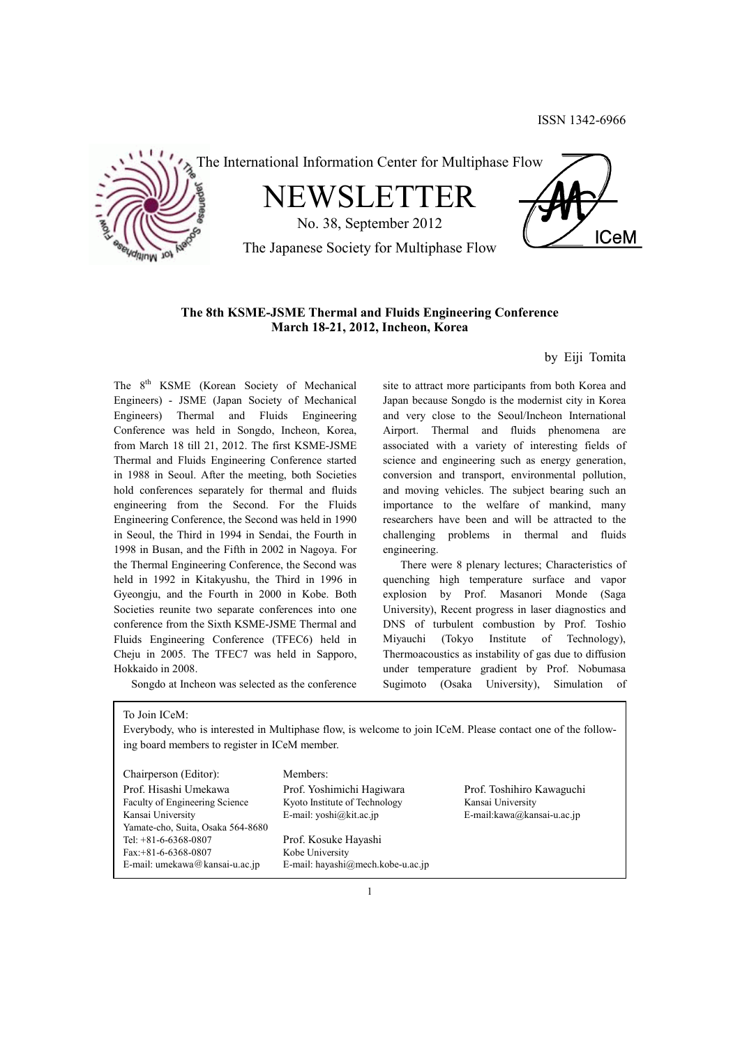



# **The 8th KSME-JSME Thermal and Fluids Engineering Conference March 18-21, 2012, Incheon, Korea**

by Eiji Tomita

The 8<sup>th</sup> KSME (Korean Society of Mechanical Engineers) - JSME (Japan Society of Mechanical Engineers) Thermal and Fluids Engineering Conference was held in Songdo, Incheon, Korea, from March 18 till 21, 2012. The first KSME-JSME Thermal and Fluids Engineering Conference started in 1988 in Seoul. After the meeting, both Societies hold conferences separately for thermal and fluids engineering from the Second. For the Fluids Engineering Conference, the Second was held in 1990 in Seoul, the Third in 1994 in Sendai, the Fourth in 1998 in Busan, and the Fifth in 2002 in Nagoya. For the Thermal Engineering Conference, the Second was held in 1992 in Kitakyushu, the Third in 1996 in Gyeongju, and the Fourth in 2000 in Kobe. Both Societies reunite two separate conferences into one conference from the Sixth KSME-JSME Thermal and Fluids Engineering Conference (TFEC6) held in Cheju in 2005. The TFEC7 was held in Sapporo, Hokkaido in 2008.

Songdo at Incheon was selected as the conference

site to attract more participants from both Korea and Japan because Songdo is the modernist city in Korea and very close to the Seoul/Incheon International Airport. Thermal and fluids phenomena are associated with a variety of interesting fields of science and engineering such as energy generation, conversion and transport, environmental pollution, and moving vehicles. The subject bearing such an importance to the welfare of mankind, many researchers have been and will be attracted to the challenging problems in thermal and fluids engineering.

 There were 8 plenary lectures; Characteristics of quenching high temperature surface and vapor explosion by Prof. Masanori Monde (Saga University), Recent progress in laser diagnostics and DNS of turbulent combustion by Prof. Toshio Miyauchi (Tokyo Institute of Technology), Thermoacoustics as instability of gas due to diffusion under temperature gradient by Prof. Nobumasa Sugimoto (Osaka University), Simulation of

To Join ICeM:

Everybody, who is interested in Multiphase flow, is welcome to join ICeM. Please contact one of the following board members to register in ICeM member.

Chairperson (Editor): Members: Prof. Hisashi Umekawa Prof. Yoshimichi Hagiwara Prof. Toshihiro Kawaguchi Faculty of Engineering Science Kyoto Institute of Technology Kansai University Kansai University E-mail: yoshi@kit.ac.jp E-mail: kawa@kansai-u.ac.jp Yamate-cho, Suita, Osaka 564-8680 Tel: +81-6-6368-0807 Prof. Kosuke Hayashi Fax: +81-6-6368-0807 Kobe University E-mail: umekawa@kansai-u.ac.jp E-mail: hayashi@mech.kobe-u.ac.jp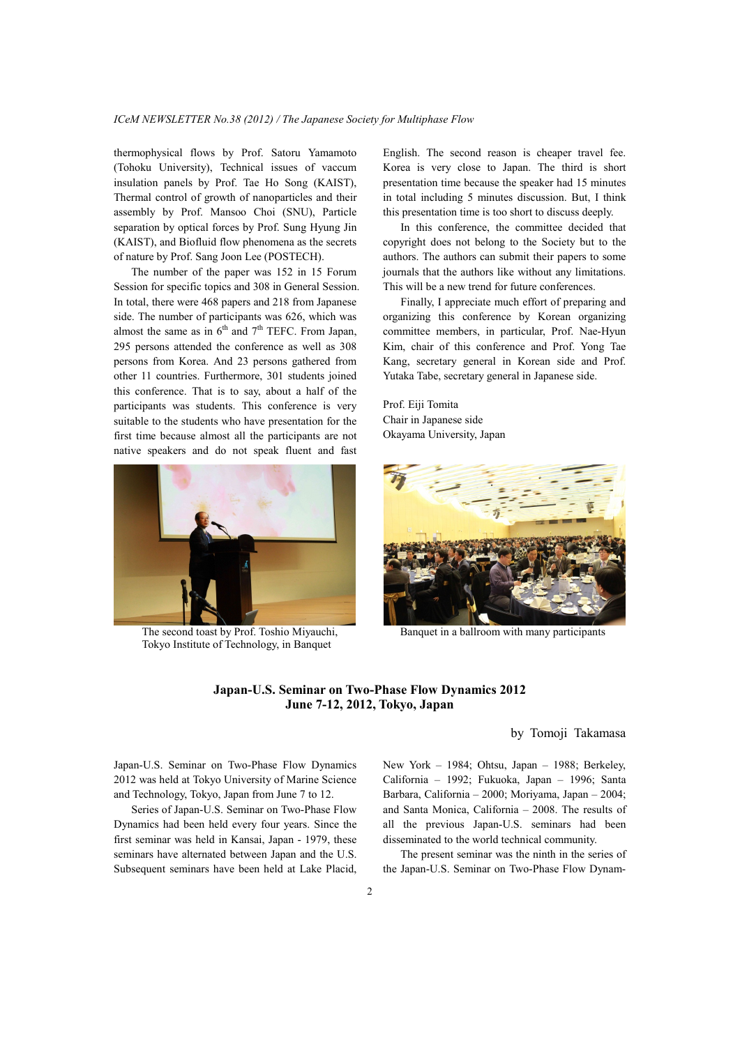thermophysical flows by Prof. Satoru Yamamoto (Tohoku University), Technical issues of vaccum insulation panels by Prof. Tae Ho Song (KAIST), Thermal control of growth of nanoparticles and their assembly by Prof. Mansoo Choi (SNU), Particle separation by optical forces by Prof. Sung Hyung Jin (KAIST), and Biofluid flow phenomena as the secrets of nature by Prof. Sang Joon Lee (POSTECH).

 The number of the paper was 152 in 15 Forum Session for specific topics and 308 in General Session. In total, there were 468 papers and 218 from Japanese side. The number of participants was 626, which was almost the same as in  $6<sup>th</sup>$  and  $7<sup>th</sup>$  TEFC. From Japan, 295 persons attended the conference as well as 308 persons from Korea. And 23 persons gathered from other 11 countries. Furthermore, 301 students joined this conference. That is to say, about a half of the participants was students. This conference is very suitable to the students who have presentation for the first time because almost all the participants are not native speakers and do not speak fluent and fast



 The second toast by Prof. Toshio Miyauchi, Banquet in a ballroom with many participants Tokyo Institute of Technology, in Banquet

English. The second reason is cheaper travel fee. Korea is very close to Japan. The third is short presentation time because the speaker had 15 minutes in total including 5 minutes discussion. But, I think this presentation time is too short to discuss deeply.

 In this conference, the committee decided that copyright does not belong to the Society but to the authors. The authors can submit their papers to some journals that the authors like without any limitations. This will be a new trend for future conferences.

 Finally, I appreciate much effort of preparing and organizing this conference by Korean organizing committee members, in particular, Prof. Nae-Hyun Kim, chair of this conference and Prof. Yong Tae Kang, secretary general in Korean side and Prof. Yutaka Tabe, secretary general in Japanese side.

Prof. Eiji Tomita Chair in Japanese side Okayama University, Japan



# **Japan-U.S. Seminar on Two-Phase Flow Dynamics 2012 June 7-12, 2012, Tokyo, Japan**

by Tomoji Takamasa

Japan-U.S. Seminar on Two-Phase Flow Dynamics 2012 was held at Tokyo University of Marine Science and Technology, Tokyo, Japan from June 7 to 12.

 Series of Japan-U.S. Seminar on Two-Phase Flow Dynamics had been held every four years. Since the first seminar was held in Kansai, Japan - 1979, these seminars have alternated between Japan and the U.S. Subsequent seminars have been held at Lake Placid, New York – 1984; Ohtsu, Japan – 1988; Berkeley, California – 1992; Fukuoka, Japan – 1996; Santa Barbara, California – 2000; Moriyama, Japan – 2004; and Santa Monica, California – 2008. The results of all the previous Japan-U.S. seminars had been disseminated to the world technical community.

 The present seminar was the ninth in the series of the Japan-U.S. Seminar on Two-Phase Flow Dynam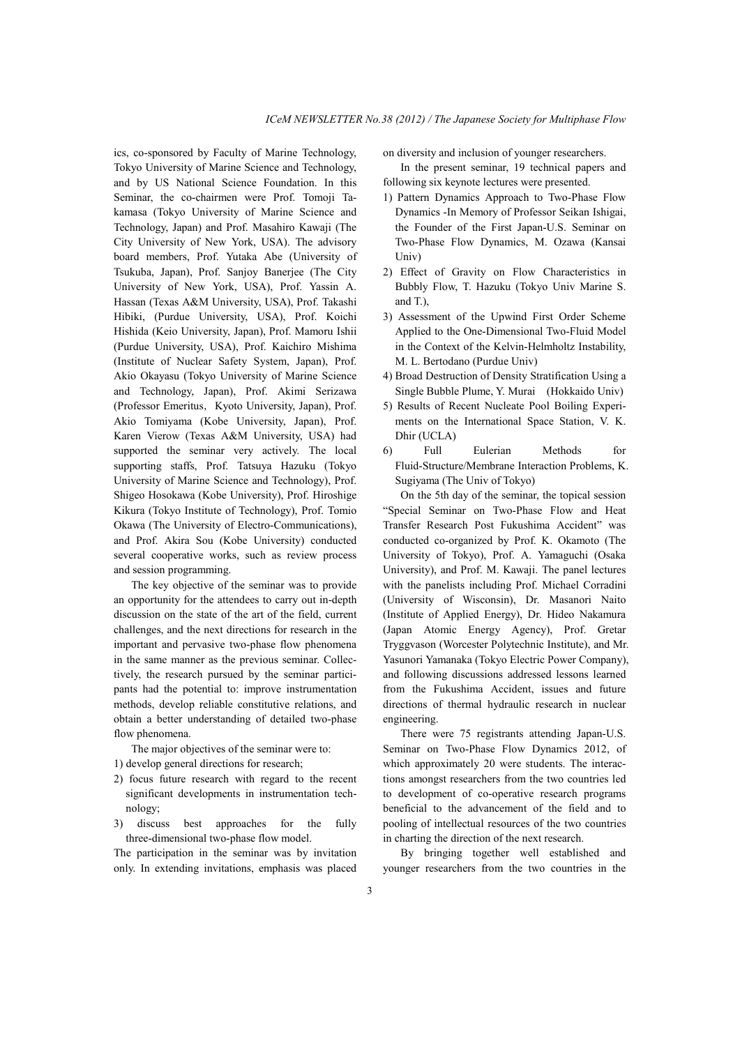ics, co-sponsored by Faculty of Marine Technology, Tokyo University of Marine Science and Technology, and by US National Science Foundation. In this Seminar, the co-chairmen were Prof. Tomoji Takamasa (Tokyo University of Marine Science and Technology, Japan) and Prof. Masahiro Kawaji (The City University of New York, USA). The advisory board members, Prof. Yutaka Abe (University of Tsukuba, Japan), Prof. Sanjoy Banerjee (The City University of New York, USA), Prof. Yassin A. Hassan (Texas A&M University, USA), Prof. Takashi Hibiki, (Purdue University, USA), Prof. Koichi Hishida (Keio University, Japan), Prof. Mamoru Ishii (Purdue University, USA), Prof. Kaichiro Mishima (Institute of Nuclear Safety System, Japan), Prof. Akio Okayasu (Tokyo University of Marine Science and Technology, Japan), Prof. Akimi Serizawa (Professor Emeritus, Kyoto University, Japan), Prof. Akio Tomiyama (Kobe University, Japan), Prof. Karen Vierow (Texas A&M University, USA) had supported the seminar very actively. The local supporting staffs, Prof. Tatsuya Hazuku (Tokyo University of Marine Science and Technology), Prof. Shigeo Hosokawa (Kobe University), Prof. Hiroshige Kikura (Tokyo Institute of Technology), Prof. Tomio Okawa (The University of Electro-Communications), and Prof. Akira Sou (Kobe University) conducted several cooperative works, such as review process and session programming.

 The key objective of the seminar was to provide an opportunity for the attendees to carry out in-depth discussion on the state of the art of the field, current challenges, and the next directions for research in the important and pervasive two-phase flow phenomena in the same manner as the previous seminar. Collectively, the research pursued by the seminar participants had the potential to: improve instrumentation methods, develop reliable constitutive relations, and obtain a better understanding of detailed two-phase flow phenomena.

The major objectives of the seminar were to:

- 1) develop general directions for research;
- 2) focus future research with regard to the recent significant developments in instrumentation technology;
- 3) discuss best approaches for the fully three-dimensional two-phase flow model.

The participation in the seminar was by invitation only. In extending invitations, emphasis was placed on diversity and inclusion of younger researchers.

 In the present seminar, 19 technical papers and following six keynote lectures were presented.

- 1) Pattern Dynamics Approach to Two-Phase Flow Dynamics -In Memory of Professor Seikan Ishigai, the Founder of the First Japan-U.S. Seminar on Two-Phase Flow Dynamics, M. Ozawa (Kansai Univ)
- 2) Effect of Gravity on Flow Characteristics in Bubbly Flow, T. Hazuku (Tokyo Univ Marine S. and T.),
- 3) Assessment of the Upwind First Order Scheme Applied to the One-Dimensional Two-Fluid Model in the Context of the Kelvin-Helmholtz Instability, M. L. Bertodano (Purdue Univ)
- 4) Broad Destruction of Density Stratification Using a Single Bubble Plume, Y. Murai (Hokkaido Univ)
- 5) Results of Recent Nucleate Pool Boiling Experiments on the International Space Station, V. K. Dhir (UCLA)
- 6) Full Eulerian Methods for Fluid-Structure/Membrane Interaction Problems, K. Sugiyama (The Univ of Tokyo)

 On the 5th day of the seminar, the topical session "Special Seminar on Two-Phase Flow and Heat Transfer Research Post Fukushima Accident" was conducted co-organized by Prof. K. Okamoto (The University of Tokyo), Prof. A. Yamaguchi (Osaka University), and Prof. M. Kawaji. The panel lectures with the panelists including Prof. Michael Corradini (University of Wisconsin), Dr. Masanori Naito (Institute of Applied Energy), Dr. Hideo Nakamura (Japan Atomic Energy Agency), Prof. Gretar Tryggvason (Worcester Polytechnic Institute), and Mr. Yasunori Yamanaka (Tokyo Electric Power Company), and following discussions addressed lessons learned from the Fukushima Accident, issues and future directions of thermal hydraulic research in nuclear engineering.

 There were 75 registrants attending Japan-U.S. Seminar on Two-Phase Flow Dynamics 2012, of which approximately 20 were students. The interactions amongst researchers from the two countries led to development of co-operative research programs beneficial to the advancement of the field and to pooling of intellectual resources of the two countries in charting the direction of the next research.

 By bringing together well established and younger researchers from the two countries in the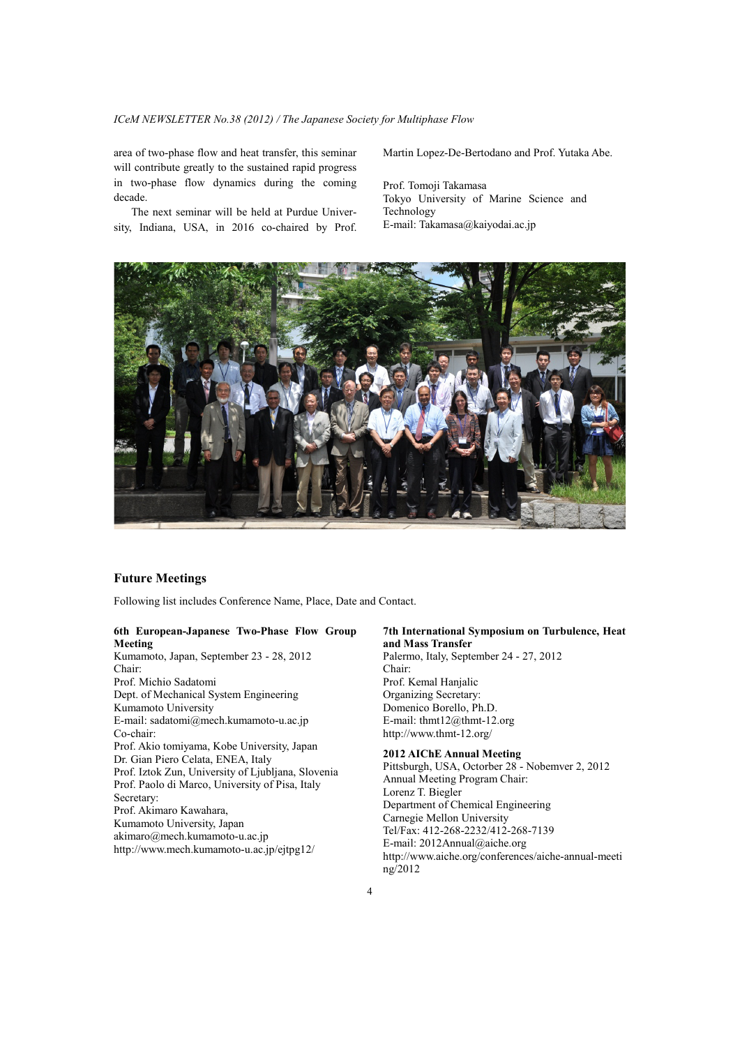area of two-phase flow and heat transfer, this seminar will contribute greatly to the sustained rapid progress in two-phase flow dynamics during the coming decade.

 The next seminar will be held at Purdue University, Indiana, USA, in 2016 co-chaired by Prof. Martin Lopez-De-Bertodano and Prof. Yutaka Abe.

Prof. Tomoji Takamasa Tokyo University of Marine Science and Technology E-mail: Takamasa@kaiyodai.ac.jp



# **Future Meetings**

Following list includes Conference Name, Place, Date and Contact.

## **6th European-Japanese Two-Phase Flow Group Meeting**

Kumamoto, Japan, September 23 - 28, 2012 Chair: Prof. Michio Sadatomi Dept. of Mechanical System Engineering Kumamoto University E-mail: sadatomi@mech.kumamoto-u.ac.jp Co-chair: Prof. Akio tomiyama, Kobe University, Japan Dr. Gian Piero Celata, ENEA, Italy Prof. Iztok Zun, University of Ljubljana, Slovenia Prof. Paolo di Marco, University of Pisa, Italy Secretary: Prof. Akimaro Kawahara, Kumamoto University, Japan akimaro@mech.kumamoto-u.ac.jp http://www.mech.kumamoto-u.ac.jp/ejtpg12/

#### **7th International Symposium on Turbulence, Heat and Mass Transfer**

Palermo, Italy, September 24 - 27, 2012 Chair: Prof. Kemal Hanjalic Organizing Secretary: Domenico Borello, Ph.D. E-mail: thmt12@thmt-12.org http://www.thmt-12.org/

#### **2012 AIChE Annual Meeting**

Pittsburgh, USA, Octorber 28 - Nobemver 2, 2012 Annual Meeting Program Chair: Lorenz T. Biegler Department of Chemical Engineering Carnegie Mellon University Tel/Fax: 412-268-2232/412-268-7139 E-mail: 2012Annual@aiche.org http://www.aiche.org/conferences/aiche-annual-meeti ng/2012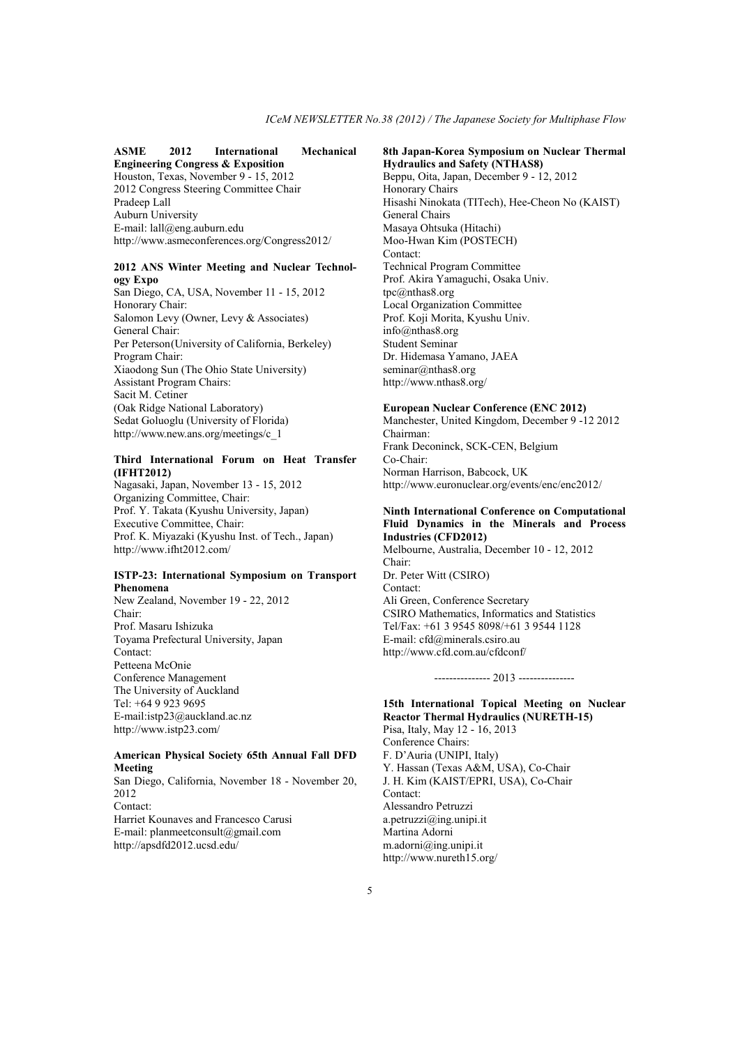# **ASME 2012 International Mechanical Engineering Congress & Exposition**

Houston, Texas, November 9 - 15, 2012 2012 Congress Steering Committee Chair Pradeep Lall Auburn University E-mail: lall@eng.auburn.edu http://www.asmeconferences.org/Congress2012/

## **2012 ANS Winter Meeting and Nuclear Technology Expo**

San Diego, CA, USA, November 11 - 15, 2012 Honorary Chair: Salomon Levy (Owner, Levy & Associates) General Chair: Per Peterson(University of California, Berkeley) Program Chair: Xiaodong Sun (The Ohio State University) Assistant Program Chairs: Sacit M. Cetiner (Oak Ridge National Laboratory) Sedat Goluoglu (University of Florida) http://www.new.ans.org/meetings/c\_1

## **Third International Forum on Heat Transfer (IFHT2012)**

Nagasaki, Japan, November 13 - 15, 2012 Organizing Committee, Chair: Prof. Y. Takata (Kyushu University, Japan) Executive Committee, Chair: Prof. K. Miyazaki (Kyushu Inst. of Tech., Japan) http://www.ifht2012.com/

#### **ISTP-23: International Symposium on Transport Phenomena**

New Zealand, November 19 - 22, 2012 Chair: Prof. Masaru Ishizuka Toyama Prefectural University, Japan Contact: Petteena McOnie Conference Management The University of Auckland Tel: +64 9 923 9695 E-mail:istp23@auckland.ac.nz http://www.istp23.com/

#### **American Physical Society 65th Annual Fall DFD Meeting**

San Diego, California, November 18 - November 20, 2012 Contact: Harriet Kounaves and Francesco Carusi E-mail: planmeetconsult@gmail.com http://apsdfd2012.ucsd.edu/

# **8th Japan-Korea Symposium on Nuclear Thermal Hydraulics and Safety (NTHAS8)**

Beppu, Oita, Japan, December 9 - 12, 2012 Honorary Chairs Hisashi Ninokata (TITech), Hee-Cheon No (KAIST) General Chairs Masaya Ohtsuka (Hitachi) Moo-Hwan Kim (POSTECH) Contact: Technical Program Committee Prof. Akira Yamaguchi, Osaka Univ. tpc@nthas8.org Local Organization Committee Prof. Koji Morita, Kyushu Univ. info@nthas8.org Student Seminar Dr. Hidemasa Yamano, JAEA seminar@nthas8.org http://www.nthas8.org/

#### **European Nuclear Conference (ENC 2012)**

Manchester, United Kingdom, December 9 -12 2012 Chairman: Frank Deconinck, SCK-CEN, Belgium Co-Chair: Norman Harrison, Babcock, UK http://www.euronuclear.org/events/enc/enc2012/

## **Ninth International Conference on Computational Fluid Dynamics in the Minerals and Process Industries (CFD2012)**

Melbourne, Australia, December 10 - 12, 2012 Chair: Dr. Peter Witt (CSIRO) Contact: Ali Green, Conference Secretary CSIRO Mathematics, Informatics and Statistics Tel/Fax: +61 3 9545 8098/+61 3 9544 1128 E-mail: cfd@minerals.csiro.au http://www.cfd.com.au/cfdconf/

#### --------------- 2013 ---------------

# **15th International Topical Meeting on Nuclear Reactor Thermal Hydraulics (NURETH-15)**

Pisa, Italy, May 12 - 16, 2013 Conference Chairs: F. D'Auria (UNIPI, Italy) Y. Hassan (Texas A&M, USA), Co-Chair J. H. Kim (KAIST/EPRI, USA), Co-Chair Contact: Alessandro Petruzzi a.petruzzi@ing.unipi.it Martina Adorni m.adorni@ing.unipi.it http://www.nureth15.org/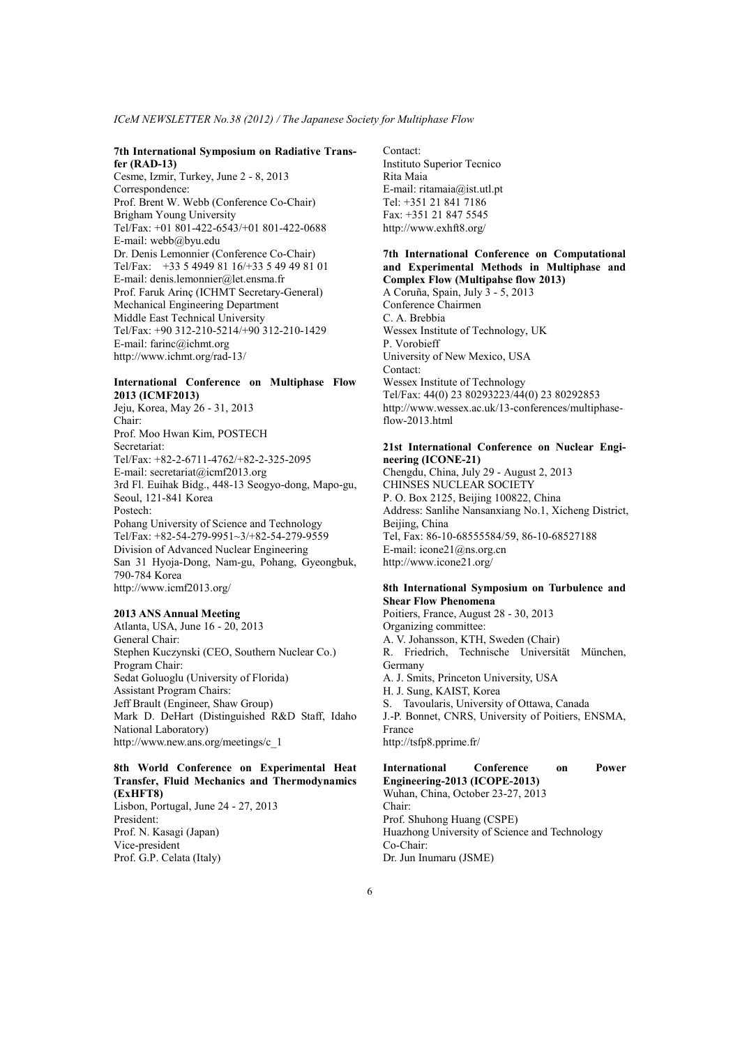#### **7th International Symposium on Radiative Transfer (RAD-13)**

Cesme, Izmir, Turkey, June 2 - 8, 2013 Correspondence: Prof. Brent W. Webb (Conference Co-Chair) Brigham Young University Tel/Fax: +01 801-422-6543/+01 801-422-0688 E-mail: webb@byu.edu Dr. Denis Lemonnier (Conference Co-Chair) Tel/Fax: +33 5 4949 81 16/+33 5 49 49 81 01 E-mail: denis.lemonnier@let.ensma.fr Prof. Faruk Arinç (ICHMT Secretary-General) Mechanical Engineering Department Middle East Technical University Tel/Fax: +90 312-210-5214/+90 312-210-1429 E-mail: farinc@ichmt.org http://www.ichmt.org/rad-13/

# **International Conference on Multiphase Flow 2013 (ICMF2013)**

Jeju, Korea, May 26 - 31, 2013 Chair: Prof. Moo Hwan Kim, POSTECH Secretariat: Tel/Fax: +82-2-6711-4762/+82-2-325-2095 E-mail: secretariat@icmf2013.org 3rd Fl. Euihak Bidg., 448-13 Seogyo-dong, Mapo-gu, Seoul, 121-841 Korea Postech: Pohang University of Science and Technology Tel/Fax: +82-54-279-9951~3/+82-54-279-9559 Division of Advanced Nuclear Engineering San 31 Hyoja-Dong, Nam-gu, Pohang, Gyeongbuk, 790-784 Korea http://www.icmf2013.org/

## **2013 ANS Annual Meeting**

Atlanta, USA, June 16 - 20, 2013 General Chair: Stephen Kuczynski (CEO, Southern Nuclear Co.) Program Chair: Sedat Goluoglu (University of Florida) Assistant Program Chairs: Jeff Brault (Engineer, Shaw Group) Mark D. DeHart (Distinguished R&D Staff, Idaho National Laboratory) http://www.new.ans.org/meetings/c\_1

# **8th World Conference on Experimental Heat Transfer, Fluid Mechanics and Thermodynamics (ExHFT8)**

Lisbon, Portugal, June 24 - 27, 2013 President: Prof. N. Kasagi (Japan) Vice-president Prof. G.P. Celata (Italy)

Contact: Instituto Superior Tecnico Rita Maia E-mail: ritamaia@ist.utl.pt Tel: +351 21 841 7186 Fax: +351 21 847 5545 http://www.exhft8.org/

# **7th International Conference on Computational and Experimental Methods in Multiphase and Complex Flow (Multipahse flow 2013)**

A Coruña, Spain, July 3 - 5, 2013 Conference Chairmen C. A. Brebbia Wessex Institute of Technology, UK P. Vorobieff University of New Mexico, USA Contact: Wessex Institute of Technology Tel/Fax: 44(0) 23 80293223/44(0) 23 80292853 http://www.wessex.ac.uk/13-conferences/multiphase $flow-2013.html$ 

## **21st International Conference on Nuclear Engineering (ICONE-21)**

Chengdu, China, July 29 - August 2, 2013 CHINSES NUCLEAR SOCIETY P. O. Box 2125, Beijing 100822, China Address: Sanlihe Nansanxiang No.1, Xicheng District, Beijing, China Tel, Fax: 86-10-68555584/59, 86-10-68527188 E-mail: icone21@ns.org.cn http://www.icone21.org/

## **8th International Symposium on Turbulence and Shear Flow Phenomena**

Poitiers, France, August 28 - 30, 2013 Organizing committee: A. V. Johansson, KTH, Sweden (Chair) R. Friedrich, Technische Universität München, Germany A. J. Smits, Princeton University, USA H. J. Sung, KAIST, Korea S. Tavoularis, University of Ottawa, Canada J.-P. Bonnet, CNRS, University of Poitiers, ENSMA, France http://tsfp8.pprime.fr/

#### **International Conference on Power Engineering-2013 (ICOPE-2013)**

Wuhan, China, October 23-27, 2013 Chair: Prof. Shuhong Huang (CSPE) Huazhong University of Science and Technology Co-Chair: Dr. Jun Inumaru (JSME)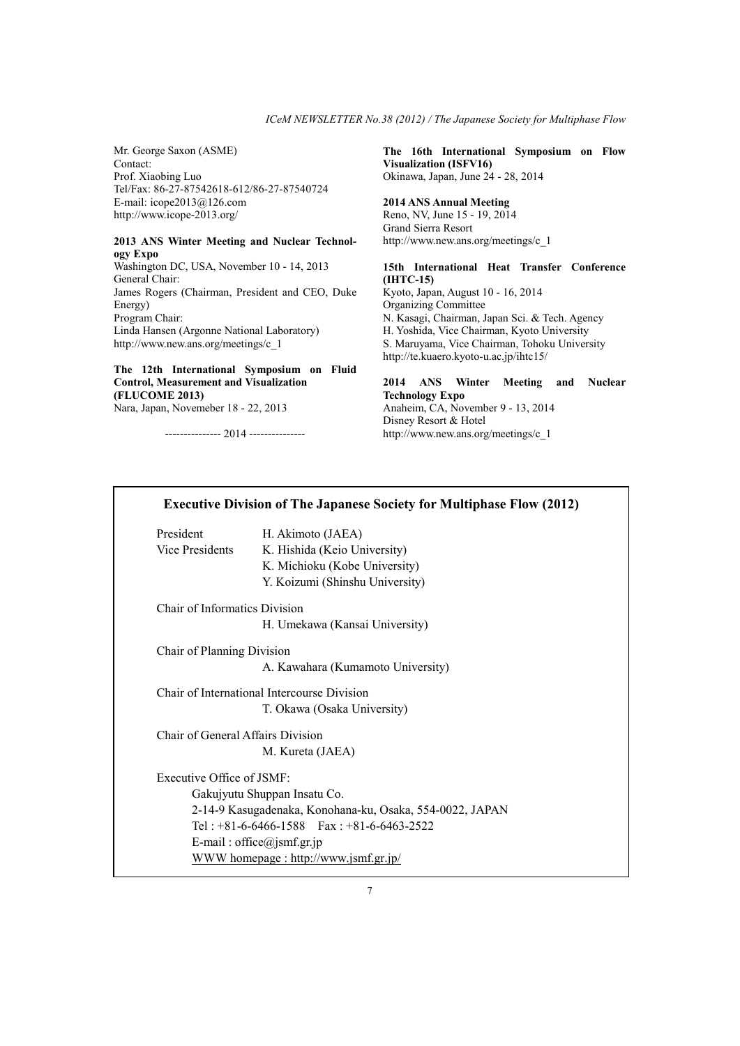Mr. George Saxon (ASME) Contact: Prof. Xiaobing Luo Tel/Fax: 86-27-87542618-612/86-27-87540724 E-mail: icope2013@126.com http://www.icope-2013.org/

#### **2013 ANS Winter Meeting and Nuclear Technology Expo**

Washington DC, USA, November 10 - 14, 2013 General Chair: James Rogers (Chairman, President and CEO, Duke Energy) Program Chair: Linda Hansen (Argonne National Laboratory) http://www.new.ans.org/meetings/c\_1

# **The 12th International Symposium on Fluid Control, Measurement and Visualization (FLUCOME 2013)**

Nara, Japan, Novemeber 18 - 22, 2013

--------------- 2014 ---------------

**The 16th International Symposium on Flow Visualization (ISFV16)**  Okinawa, Japan, June 24 - 28, 2014

#### **2014 ANS Annual Meeting**

Reno, NV, June 15 - 19, 2014 Grand Sierra Resort http://www.new.ans.org/meetings/c\_1

## **15th International Heat Transfer Conference (IHTC-15)**

Kyoto, Japan, August 10 - 16, 2014 Organizing Committee N. Kasagi, Chairman, Japan Sci. & Tech. Agency H. Yoshida, Vice Chairman, Kyoto University S. Maruyama, Vice Chairman, Tohoku University http://te.kuaero.kyoto-u.ac.jp/ihtc15/

# **2014 ANS Winter Meeting and Nuclear Technology Expo**

Anaheim, CA, November 9 - 13, 2014 Disney Resort & Hotel http://www.new.ans.org/meetings/c\_1

# President H. Akimoto (JAEA) Vice Presidents K. Hishida (Keio University) K. Michioku (Kobe University) Y. Koizumi (Shinshu University) Chair of Informatics Division H. Umekawa (Kansai University) Chair of Planning Division A. Kawahara (Kumamoto University)

**Executive Division of The Japanese Society for Multiphase Flow (2012)** 

Chair of International Intercourse Division T. Okawa (Osaka University)

Chair of General Affairs Division M. Kureta (JAEA)

Executive Office of JSMF: Gakujyutu Shuppan Insatu Co. 2-14-9 Kasugadenaka, Konohana-ku, Osaka, 554-0022, JAPAN Tel : +81-6-6466-1588 Fax : +81-6-6463-2522 E-mail : office@jsmf.gr.jp WWW homepage : http://www.jsmf.gr.jp/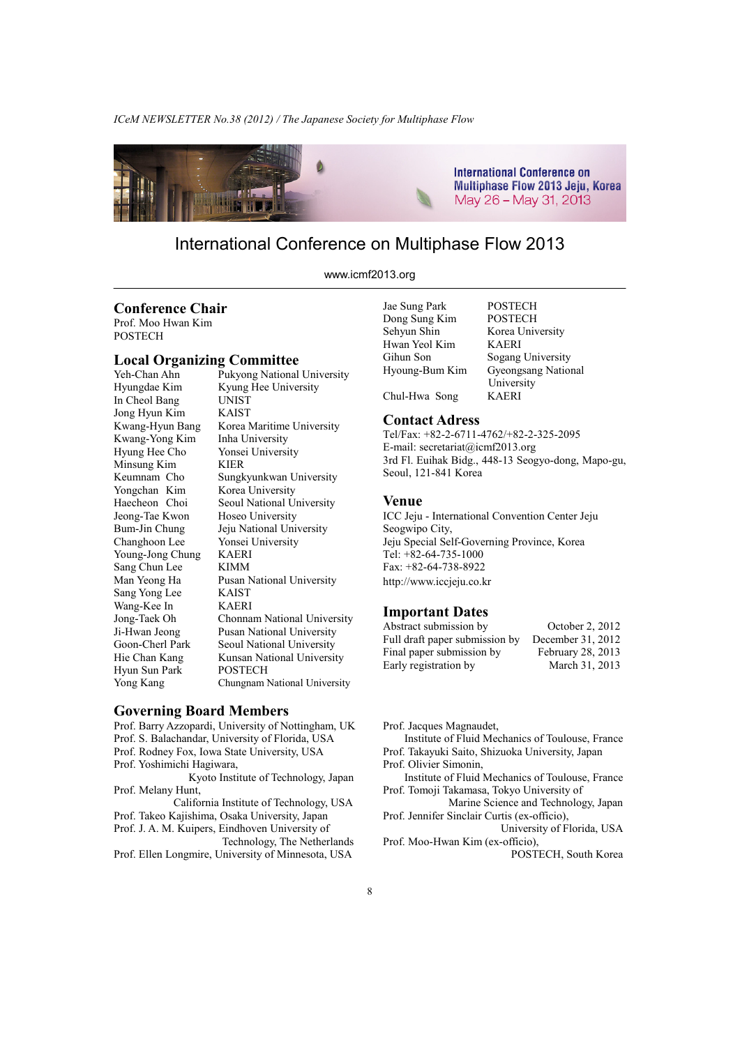

# International Conference on Multiphase Flow 2013

www.icmf2013.org

# **Conference Chair**

Prof. Moo Hwan Kim **POSTECH** 

# **Local Organizing Committee**

Hyungdae Kim Kyung Hee University In Cheol Bang UNIST Jong Hyun Kim KAIST Kwang-Yong Kim Hyung Hee Cho Yonsei University<br>Minsung Kim KIER Minsung Kim Yongchan Kim Korea University Jeong-Tae Kwon Hoseo University Changhoon Lee Yonsei University Young-Jong Chung KAERI Sang Chun Lee KIMM<br>Man Yeong Ha Pusan N Sang Yong Lee KAIST Wang-Kee In KAERI Hyun Sun Park POSTECH Yong Kang Chungnam National University

Yeh-Chan Ahn Pukyong National University Kwang-Hyun Bang Korea Maritime University Keumnam Cho Sungkyunkwan University Haecheon Choi Seoul National University Bum-Jin Chung Jeju National University Pusan National University Jong-Taek Oh Chonnam National University Ji-Hwan Jeong Pusan National University Goon-Cherl Park Seoul National University<br>Hie Chan Kang Kunsan National Universit Kunsan National University

## **Governing Board Members**

Prof. Barry Azzopardi, University of Nottingham, UK Prof. S. Balachandar, University of Florida, USA Prof. Rodney Fox, Iowa State University, USA Prof. Yoshimichi Hagiwara, Kyoto Institute of Technology, Japan Prof. Melany Hunt, California Institute of Technology, USA Prof. Takeo Kajishima, Osaka University, Japan Prof. J. A. M. Kuipers, Eindhoven University of Technology, The Netherlands Prof. Ellen Longmire, University of Minnesota, USA

Dong Sung Kim POSTECH Sehyun Shin Korea University Hwan Yeol Kim KAERI Hyoung-Bum Kim Gyeongsang National Chul-Hwa Song KAERI

Jae Sung Park POSTECH Sogang University University

# **Contact Adress**

Tel/Fax: +82-2-6711-4762/+82-2-325-2095 E-mail: secretariat@icmf2013.org 3rd Fl. Euihak Bidg., 448-13 Seogyo-dong, Mapo-gu, Seoul, 121-841 Korea

#### **Venue**

ICC Jeju - International Convention Center Jeju Seogwipo City, Jeju Special Self-Governing Province, Korea Tel: +82-64-735-1000 Fax: +82-64-738-8922 http://www.iccjeju.co.kr

# **Important Dates**

| Abstract submission by         | October 2, 2012   |
|--------------------------------|-------------------|
| Full draft paper submission by | December 31, 2012 |
| Final paper submission by      | February 28, 2013 |
| Early registration by          | March 31, 2013    |
|                                |                   |

Prof. Jacques Magnaudet,

 Institute of Fluid Mechanics of Toulouse, France Prof. Takayuki Saito, Shizuoka University, Japan

Prof. Olivier Simonin,

 Institute of Fluid Mechanics of Toulouse, France Prof. Tomoji Takamasa, Tokyo University of

 Marine Science and Technology, Japan Prof. Jennifer Sinclair Curtis (ex-officio),

 University of Florida, USA Prof. Moo-Hwan Kim (ex-officio),

POSTECH, South Korea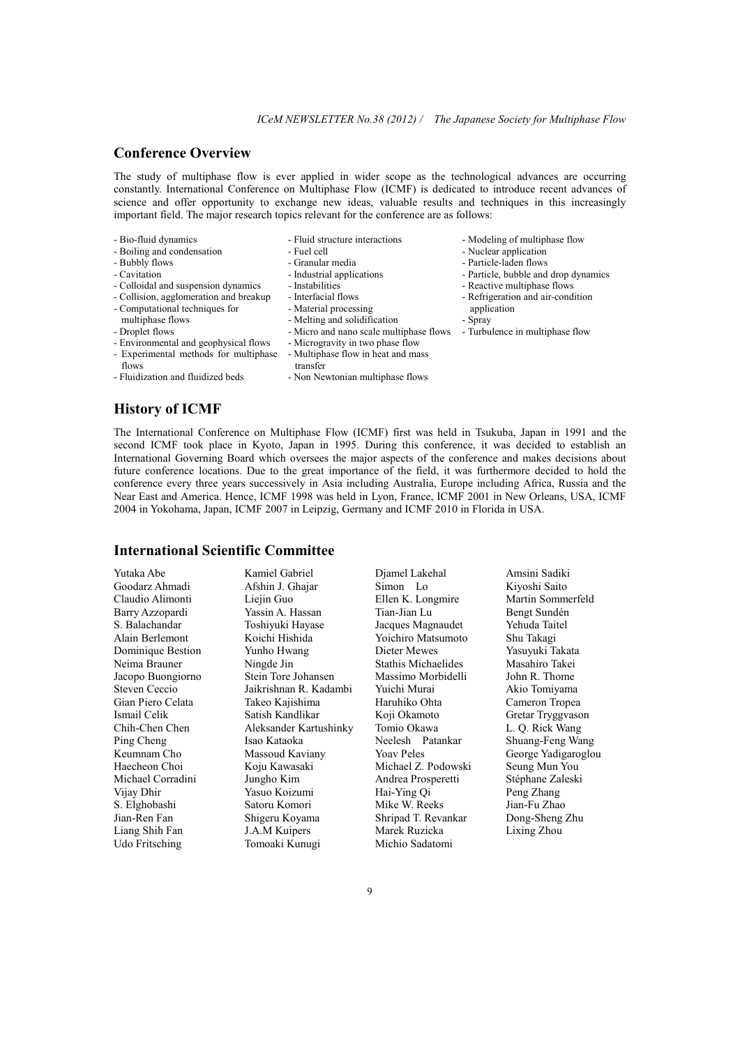# **Conference Overview**

The study of multiphase flow is ever applied in wider scope as the technological advances are occurring constantly. International Conference on Multiphase Flow (ICMF) is dedicated to introduce recent advances of science and offer opportunity to exchange new ideas, valuable results and techniques in this increasingly important field. The major research topics relevant for the conference are as follows:

- Bio-fluid dynamics
- Boiling and condensation
- Bubbly flows
- Cavitation
- Colloidal and suspension dynamics
- Collision, agglomeration and breakup
- Computational techniques for
- multiphase flows
- Droplet flows
- Environmental and geophysical flows
- Experimental methods for multiphase
	-
	- flows
- Fluidization and fluidized beds
- Fluid structure interactions
- Fuel cell
- Granular media
- Industrial applications
- Instabilities
- Interfacial flows
- Material processing
- Melting and solidification
- Micro and nano scale multiphase flows
- Microgravity in two phase flow
- Multiphase flow in heat and mass
- transfer
- Non Newtonian multiphase flows
- Modeling of multiphase flow
- Nuclear application
- Particle-laden flows
- Particle, bubble and drop dynamics
- Reactive multiphase flows
- Refrigeration and air-condition application
- Spray
- Turbulence in multiphase flow

**History of ICMF** 

The International Conference on Multiphase Flow (ICMF) first was held in Tsukuba, Japan in 1991 and the second ICMF took place in Kyoto, Japan in 1995. During this conference, it was decided to establish an International Governing Board which oversees the major aspects of the conference and makes decisions about future conference locations. Due to the great importance of the field, it was furthermore decided to hold the conference every three years successively in Asia including Australia, Europe including Africa, Russia and the Near East and America. Hence, ICMF 1998 was held in Lyon, France, ICMF 2001 in New Orleans, USA, ICMF 2004 in Yokohama, Japan, ICMF 2007 in Leipzig, Germany and ICMF 2010 in Florida in USA.

# **International Scientific Committee**

Yutaka Abe Goodarz Ahmadi Claudio Alimonti Barry Azzopardi S. Balachandar Alain Berlemont Dominique Bestion Neima Brauner Jacopo Buongiorno Steven Ceccio Gian Piero Celata Ismail Celik Chih-Chen Chen Ping Cheng Keumnam Cho Haecheon Choi Michael Corradini Vijay Dhir S. Elghobashi Jian-Ren Fan Liang Shih Fan Udo Fritsching

Kamiel Gabriel Afshin J. Ghajar Liejin Guo Yassin A. Hassan Toshiyuki Hayase Koichi Hishida Yunho Hwang Ningde Jin Stein Tore Johansen Jaikrishnan R. Kadambi Takeo Kajishima Satish Kandlikar Aleksander Kartushinky Isao Kataoka Massoud Kaviany Koju Kawasaki Jungho Kim Yasuo Koizumi Satoru Komori Shigeru Koyama J.A.M Kuipers Tomoaki Kunugi

Simon Lo Ellen K. Longmire Tian-Jian Lu Jacques Magnaudet Yoichiro Matsumoto Dieter Mewes Stathis Michaelides Massimo Morbidelli Yuichi Murai Haruhiko Ohta Koji Okamoto Tomio Okawa Neelesh Patankar Yoav Peles Michael Z. Podowski Andrea Prosperetti Hai-Ying Qi Mike W. Reeks Shripad T. Revankar Marek Ruzicka Michio Sadatomi

Djamel Lakehal

Amsini Sadiki Kiyoshi Saito Martin Sommerfeld Bengt Sundén Yehuda Taitel Shu Takagi Yasuyuki Takata Masahiro Takei John R. Thome Akio Tomiyama Cameron Tropea Gretar Tryggvason L. Q. Rick Wang Shuang-Feng Wang George Yadigaroglou Seung Mun You Stéphane Zaleski Peng Zhang Jian-Fu Zhao Dong-Sheng Zhu Lixing Zhou